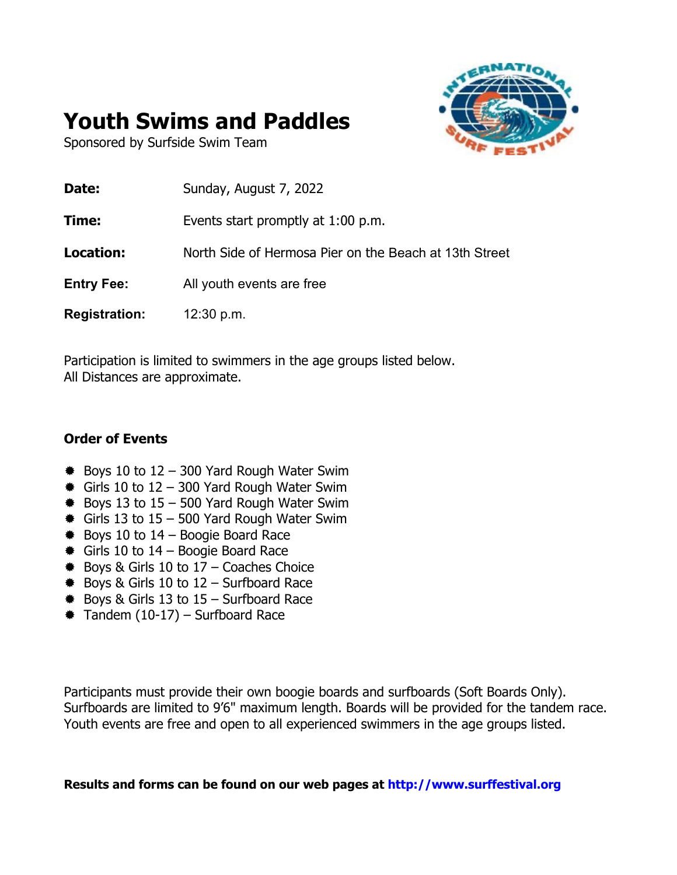

# **Youth Swims and Paddles**

Sponsored by Surfside Swim Team

| Sunday, August 7, 2022                                 |
|--------------------------------------------------------|
| Events start promptly at 1:00 p.m.                     |
| North Side of Hermosa Pier on the Beach at 13th Street |
| All youth events are free                              |
| 12:30 p.m.                                             |
|                                                        |

Participation is limited to swimmers in the age groups listed below. All Distances are approximate.

### **Order of Events**

- $\text{\#}$  Boys 10 to 12 300 Yard Rough Water Swim
- $\text{\#}$  Girls 10 to 12 300 Yard Rough Water Swim
- $\text{\#}$  Boys 13 to 15 500 Yard Rough Water Swim
- $\text{E}$  Girls 13 to 15 500 Yard Rough Water Swim
- $*$  **Boys 10 to 14 Boogie Board Race**
- $\text{\textsterling}$  Girls 10 to 14 Boogie Board Race
- $\text{\#}$  Boys & Girls 10 to 17 Coaches Choice
- $*$  **Boys & Girls 10 to 12 Surfboard Race**
- $*$  **Boys & Girls 13 to 15 Surfboard Race**
- ® Tandem (10-17) Surfboard Race

Participants must provide their own boogie boards and surfboards (Soft Boards Only). Surfboards are limited to 9'6" maximum length. Boards will be provided for the tandem race. Youth events are free and open to all experienced swimmers in the age groups listed.

**Results and forms can be found on our web pages at http://www.surffestival.org**